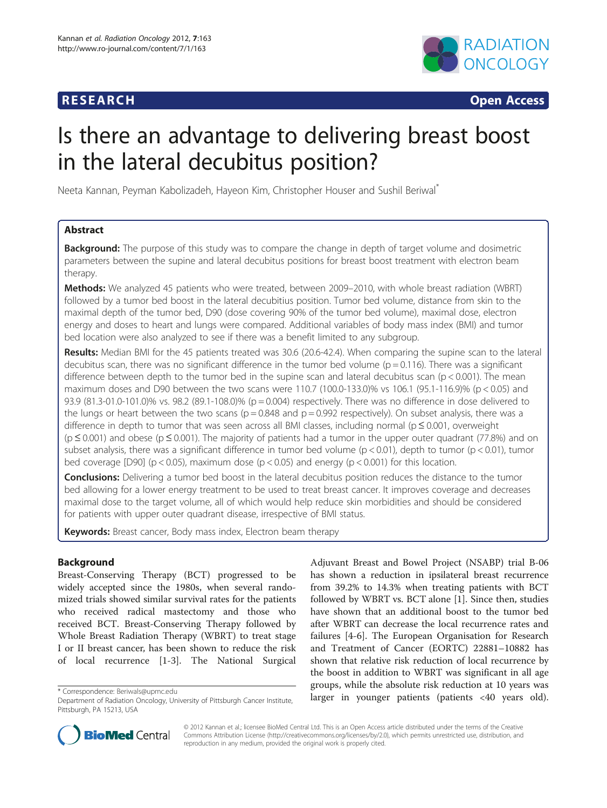# **RESEARCH RESEARCH CONSUMING ACCESS**



# Is there an advantage to delivering breast boost in the lateral decubitus position?

Neeta Kannan, Peyman Kabolizadeh, Hayeon Kim, Christopher Houser and Sushil Beriwal\*

# Abstract

**Background:** The purpose of this study was to compare the change in depth of target volume and dosimetric parameters between the supine and lateral decubitus positions for breast boost treatment with electron beam therapy.

Methods: We analyzed 45 patients who were treated, between 2009–2010, with whole breast radiation (WBRT) followed by a tumor bed boost in the lateral decubitius position. Tumor bed volume, distance from skin to the maximal depth of the tumor bed, D90 (dose covering 90% of the tumor bed volume), maximal dose, electron energy and doses to heart and lungs were compared. Additional variables of body mass index (BMI) and tumor bed location were also analyzed to see if there was a benefit limited to any subgroup.

Results: Median BMI for the 45 patients treated was 30.6 (20.6-42.4). When comparing the supine scan to the lateral decubitus scan, there was no significant difference in the tumor bed volume ( $p = 0.116$ ). There was a significant difference between depth to the tumor bed in the supine scan and lateral decubitus scan (p < 0.001). The mean maximum doses and D90 between the two scans were 110.7 (100.0-133.0)% vs 106.1 (95.1-116.9)% (p < 0.05) and 93.9 (81.3-01.0-101.0)% vs. 98.2 (89.1-108.0)% (p = 0.004) respectively. There was no difference in dose delivered to the lungs or heart between the two scans ( $p = 0.848$  and  $p = 0.992$  respectively). On subset analysis, there was a difference in depth to tumor that was seen across all BMI classes, including normal ( $p \le 0.001$ , overweight (p ≤ 0.001) and obese (p ≤ 0.001). The majority of patients had a tumor in the upper outer quadrant (77.8%) and on subset analysis, there was a significant difference in tumor bed volume ( $p < 0.01$ ), depth to tumor ( $p < 0.01$ ), tumor bed coverage [D90] (p < 0.05), maximum dose (p < 0.05) and energy (p < 0.001) for this location.

**Conclusions:** Delivering a tumor bed boost in the lateral decubitus position reduces the distance to the tumor bed allowing for a lower energy treatment to be used to treat breast cancer. It improves coverage and decreases maximal dose to the target volume, all of which would help reduce skin morbidities and should be considered for patients with upper outer quadrant disease, irrespective of BMI status.

Keywords: Breast cancer, Body mass index, Electron beam therapy

# Background

Breast-Conserving Therapy (BCT) progressed to be widely accepted since the 1980s, when several randomized trials showed similar survival rates for the patients who received radical mastectomy and those who received BCT. Breast-Conserving Therapy followed by Whole Breast Radiation Therapy (WBRT) to treat stage I or II breast cancer, has been shown to reduce the risk of local recurrence [\[1](#page-4-0)-[3\]](#page-4-0). The National Surgical

Adjuvant Breast and Bowel Project (NSABP) trial B-06 has shown a reduction in ipsilateral breast recurrence from 39.2% to 14.3% when treating patients with BCT followed by WBRT vs. BCT alone [[1\]](#page-4-0). Since then, studies have shown that an additional boost to the tumor bed after WBRT can decrease the local recurrence rates and failures [[4-6](#page-4-0)]. The European Organisation for Research and Treatment of Cancer (EORTC) 22881–10882 has shown that relative risk reduction of local recurrence by the boost in addition to WBRT was significant in all age groups, while the absolute risk reduction at 10 years was larger in younger patients (patients <40 years old). \* Correspondence: [Beriwals@upmc.edu](mailto:Beriwals@upmc.edu)



© 2012 Kannan et al.; licensee BioMed Central Ltd. This is an Open Access article distributed under the terms of the Creative Commons Attribution License [\(http://creativecommons.org/licenses/by/2.0\)](http://creativecommons.org/licenses/by/2.0), which permits unrestricted use, distribution, and reproduction in any medium, provided the original work is properly cited.

Department of Radiation Oncology, University of Pittsburgh Cancer Institute, Pittsburgh, PA 15213, USA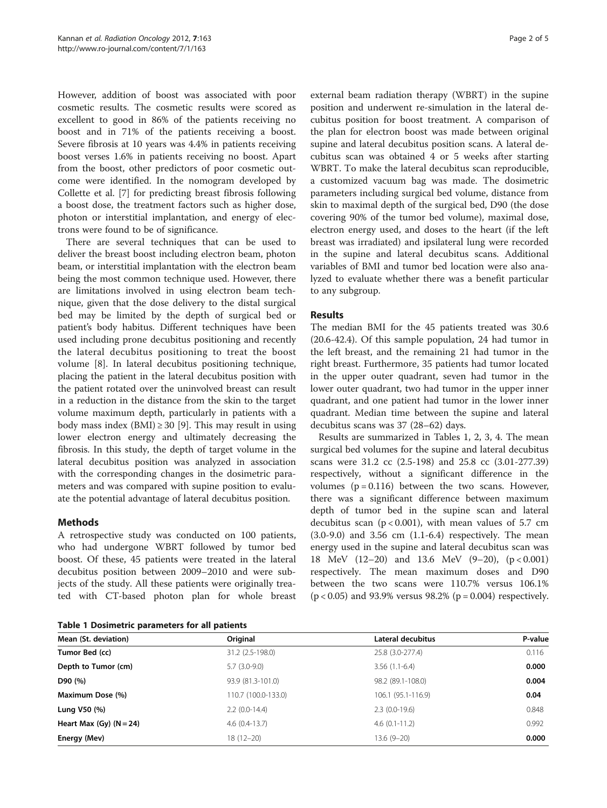<span id="page-1-0"></span>However, addition of boost was associated with poor cosmetic results. The cosmetic results were scored as excellent to good in 86% of the patients receiving no boost and in 71% of the patients receiving a boost. Severe fibrosis at 10 years was 4.4% in patients receiving boost verses 1.6% in patients receiving no boost. Apart from the boost, other predictors of poor cosmetic outcome were identified. In the nomogram developed by Collette et al. [\[7](#page-4-0)] for predicting breast fibrosis following a boost dose, the treatment factors such as higher dose, photon or interstitial implantation, and energy of electrons were found to be of significance.

There are several techniques that can be used to deliver the breast boost including electron beam, photon beam, or interstitial implantation with the electron beam being the most common technique used. However, there are limitations involved in using electron beam technique, given that the dose delivery to the distal surgical bed may be limited by the depth of surgical bed or patient's body habitus. Different techniques have been used including prone decubitus positioning and recently the lateral decubitus positioning to treat the boost volume [[8\]](#page-4-0). In lateral decubitus positioning technique, placing the patient in the lateral decubitus position with the patient rotated over the uninvolved breast can result in a reduction in the distance from the skin to the target volume maximum depth, particularly in patients with a body mass index (BMI)  $\geq$  30 [\[9](#page-4-0)]. This may result in using lower electron energy and ultimately decreasing the fibrosis. In this study, the depth of target volume in the lateral decubitus position was analyzed in association with the corresponding changes in the dosimetric parameters and was compared with supine position to evaluate the potential advantage of lateral decubitus position.

# Methods

A retrospective study was conducted on 100 patients, who had undergone WBRT followed by tumor bed boost. Of these, 45 patients were treated in the lateral decubitus position between 2009–2010 and were subjects of the study. All these patients were originally treated with CT-based photon plan for whole breast

Table 1 Dosimetric parameters for all patients

external beam radiation therapy (WBRT) in the supine position and underwent re-simulation in the lateral decubitus position for boost treatment. A comparison of the plan for electron boost was made between original supine and lateral decubitus position scans. A lateral decubitus scan was obtained 4 or 5 weeks after starting WBRT. To make the lateral decubitus scan reproducible, a customized vacuum bag was made. The dosimetric parameters including surgical bed volume, distance from skin to maximal depth of the surgical bed, D90 (the dose covering 90% of the tumor bed volume), maximal dose, electron energy used, and doses to the heart (if the left breast was irradiated) and ipsilateral lung were recorded in the supine and lateral decubitus scans. Additional variables of BMI and tumor bed location were also analyzed to evaluate whether there was a benefit particular to any subgroup.

### Results

The median BMI for the 45 patients treated was 30.6 (20.6-42.4). Of this sample population, 24 had tumor in the left breast, and the remaining 21 had tumor in the right breast. Furthermore, 35 patients had tumor located in the upper outer quadrant, seven had tumor in the lower outer quadrant, two had tumor in the upper inner quadrant, and one patient had tumor in the lower inner quadrant. Median time between the supine and lateral decubitus scans was 37 (28–62) days.

Results are summarized in Tables 1, [2](#page-2-0), [3,](#page-2-0) [4](#page-3-0). The mean surgical bed volumes for the supine and lateral decubitus scans were 31.2 cc (2.5-198) and 25.8 cc (3.01-277.39) respectively, without a significant difference in the volumes  $(p = 0.116)$  between the two scans. However, there was a significant difference between maximum depth of tumor bed in the supine scan and lateral decubitus scan ( $p < 0.001$ ), with mean values of 5.7 cm (3.0-9.0) and 3.56 cm (1.1-6.4) respectively. The mean energy used in the supine and lateral decubitus scan was 18 MeV (12–20) and 13.6 MeV (9–20), (p < 0.001) respectively. The mean maximum doses and D90 between the two scans were 110.7% versus 106.1%  $(p < 0.05)$  and 93.9% versus 98.2%  $(p = 0.004)$  respectively.

| Mean (St. deviation)        | Original            | Lateral decubitus  | P-value |
|-----------------------------|---------------------|--------------------|---------|
| Tumor Bed (cc)              | 31.2 (2.5-198.0)    | 25.8 (3.0-277.4)   | 0.116   |
| Depth to Tumor (cm)         | $5.7(3.0-9.0)$      | $3.56(1.1-6.4)$    | 0.000   |
| D90 (%)                     | 93.9 (81.3-101.0)   | 98.2 (89.1-108.0)  | 0.004   |
| Maximum Dose (%)            | 110.7 (100.0-133.0) | 106.1 (95.1-116.9) | 0.04    |
| Lung V50 (%)                | $2.2$ (0.0-14.4)    | $2.3(0.0-19.6)$    | 0.848   |
| Heart Max $(Gy)$ $(N = 24)$ | $4.6(0.4-13.7)$     | $4.6(0.1 - 11.2)$  | 0.992   |
| Energy (Mev)                | $18(12 - 20)$       | $13.6(9-20)$       | 0.000   |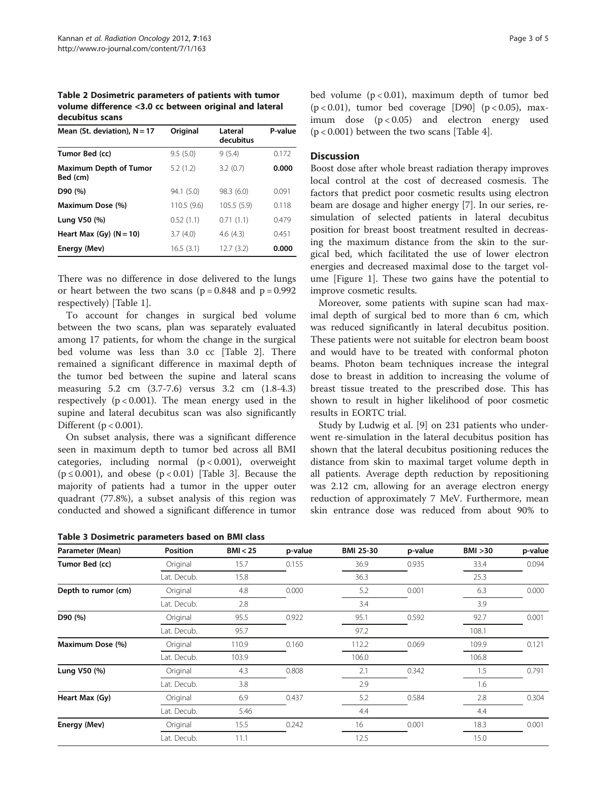<span id="page-2-0"></span>Table 2 Dosimetric parameters of patients with tumor volume difference <3.0 cc between original and lateral decubitus scans

| Mean (St. deviation), $N = 17$            | Original    | Lateral<br>decubitus | P-value |
|-------------------------------------------|-------------|----------------------|---------|
| Tumor Bed (cc)                            | 9.5(5.0)    | 9(5.4)               | 0.172   |
| <b>Maximum Depth of Tumor</b><br>Bed (cm) | 5.2(1.2)    | 3.2(0.7)             | 0.000   |
| D90 (%)                                   | 94.1(5.0)   | 98.3(6.0)            | 0.091   |
| Maximum Dose (%)                          | 110.5 (9.6) | 105.5 (5.9)          | 0.118   |
| Lung V50 (%)                              | 0.52(1.1)   | 0.71(1.1)            | 0.479   |
| Heart Max $(Gy)$ $(N = 10)$               | 3.7(4.0)    | 4.6(4.3)             | 0.451   |
| Energy (Mev)                              | 16.5(3.1)   | 12.7(3.2)            | 0.000   |

There was no difference in dose delivered to the lungs or heart between the two scans ( $p = 0.848$  and  $p = 0.992$ ) respectively) [Table [1\]](#page-1-0).

To account for changes in surgical bed volume between the two scans, plan was separately evaluated among 17 patients, for whom the change in the surgical bed volume was less than 3.0 cc [Table 2]. There remained a significant difference in maximal depth of the tumor bed between the supine and lateral scans measuring 5.2 cm (3.7-7.6) versus 3.2 cm (1.8-4.3) respectively  $(p < 0.001)$ . The mean energy used in the supine and lateral decubitus scan was also significantly Different ( $p < 0.001$ ).

On subset analysis, there was a significant difference seen in maximum depth to tumor bed across all BMI categories, including normal  $(p < 0.001)$ , overweight ( $p \le 0.001$ ), and obese ( $p < 0.01$ ) [Table 3]. Because the majority of patients had a tumor in the upper outer quadrant (77.8%), a subset analysis of this region was conducted and showed a significant difference in tumor

| Table 3 Dosimetric parameters based on BMI class |  |  |  |  |
|--------------------------------------------------|--|--|--|--|
|--------------------------------------------------|--|--|--|--|

bed volume  $(p < 0.01)$ , maximum depth of tumor bed  $(p < 0.01)$ , tumor bed coverage [D90]  $(p < 0.05)$ , maximum dose (p < 0.05) and electron energy used  $(p < 0.001)$  between the two scans [Table [4](#page-3-0)].

#### **Discussion**

Boost dose after whole breast radiation therapy improves local control at the cost of decreased cosmesis. The factors that predict poor cosmetic results using electron beam are dosage and higher energy [[7](#page-4-0)]. In our series, resimulation of selected patients in lateral decubitus position for breast boost treatment resulted in decreasing the maximum distance from the skin to the surgical bed, which facilitated the use of lower electron energies and decreased maximal dose to the target volume [Figure [1\]](#page-3-0). These two gains have the potential to improve cosmetic results.

Moreover, some patients with supine scan had maximal depth of surgical bed to more than 6 cm, which was reduced significantly in lateral decubitus position. These patients were not suitable for electron beam boost and would have to be treated with conformal photon beams. Photon beam techniques increase the integral dose to breast in addition to increasing the volume of breast tissue treated to the prescribed dose. This has shown to result in higher likelihood of poor cosmetic results in EORTC trial.

Study by Ludwig et al. [[9\]](#page-4-0) on 231 patients who underwent re-simulation in the lateral decubitus position has shown that the lateral decubitus positioning reduces the distance from skin to maximal target volume depth in all patients. Average depth reduction by repositioning was 2.12 cm, allowing for an average electron energy reduction of approximately 7 MeV. Furthermore, mean skin entrance dose was reduced from about 90% to

| Parameter (Mean)    | <b>Position</b> | BMI < 25 | p-value | <b>BMI 25-30</b> | p-value | BMI > 30 | p-value |
|---------------------|-----------------|----------|---------|------------------|---------|----------|---------|
| Tumor Bed (cc)      | Original        | 15.7     | 0.155   | 36.9             | 0.935   | 33.4     | 0.094   |
|                     | Lat. Decub.     | 15.8     |         | 36.3             |         | 25.3     |         |
| Depth to rumor (cm) | Original        | 4.8      | 0.000   | 5.2              | 0.001   | 6.3      | 0.000   |
|                     | Lat. Decub.     | 2.8      |         | 3.4              |         | 3.9      |         |
| D90 (%)             | Original        | 95.5     | 0.922   | 95.1             | 0.592   | 92.7     | 0.001   |
|                     | Lat. Decub.     | 95.7     |         | 97.2             |         | 108.1    |         |
| Maximum Dose (%)    | Original        | 110.9    | 0.160   | 112.2            | 0.069   | 109.9    | 0.121   |
|                     | Lat. Decub.     | 103.9    |         | 106.0            |         | 106.8    |         |
| Lung V50 (%)        | Original        | 4.3      | 0.808   | 2.1              | 0.342   | 1.5      | 0.791   |
|                     | Lat. Decub.     | 3.8      |         | 2.9              |         | 1.6      |         |
| Heart Max (Gy)      | Original        | 6.9      | 0.437   | 5.2              | 0.584   | 2.8      | 0.304   |
|                     | Lat. Decub.     | 5.46     |         | 4.4              |         | 4.4      |         |
| Energy (Mev)        | Original        | 15.5     | 0.242   | 16               | 0.001   | 18.3     | 0.001   |
|                     | Lat. Decub.     | 11.1     |         | 12.5             |         | 15.0     |         |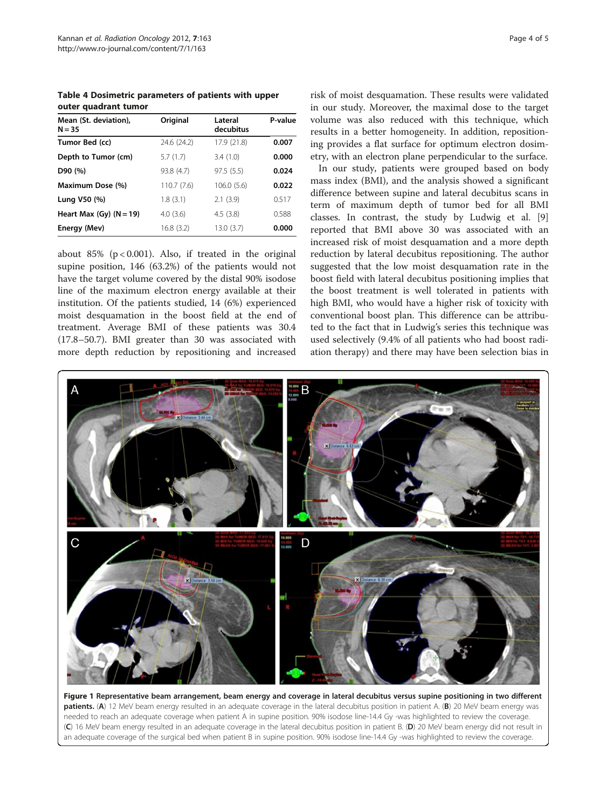<span id="page-3-0"></span>Table 4 Dosimetric parameters of patients with upper outer quadrant tumor

| Mean (St. deviation),<br>$N = 35$ | Original    | Lateral<br>decubitus | P-value |
|-----------------------------------|-------------|----------------------|---------|
| Tumor Bed (cc)                    | 24.6 (24.2) | 17.9 (21.8)          | 0.007   |
| Depth to Tumor (cm)               | 5.7(1.7)    | 3.4(1.0)             | 0.000   |
| D90 (%)                           | 93.8 (4.7)  | 97.5(5.5)            | 0.024   |
| Maximum Dose (%)                  | 110.7 (7.6) | 106.0 (5.6)          | 0.022   |
| Lung V50 (%)                      | 1.8(3.1)    | 2.1(3.9)             | 0.517   |
| Heart Max (Gy) $(N = 19)$         | 4.0(3.6)    | 4.5(3.8)             | 0.588   |
| Energy (Mev)                      | 16.8(3.2)   | 13.0(3.7)            | 0.000   |

about 85% ( $p < 0.001$ ). Also, if treated in the original supine position, 146 (63.2%) of the patients would not have the target volume covered by the distal 90% isodose line of the maximum electron energy available at their institution. Of the patients studied, 14 (6%) experienced moist desquamation in the boost field at the end of treatment. Average BMI of these patients was 30.4 (17.8–50.7). BMI greater than 30 was associated with more depth reduction by repositioning and increased

risk of moist desquamation. These results were validated in our study. Moreover, the maximal dose to the target volume was also reduced with this technique, which results in a better homogeneity. In addition, repositioning provides a flat surface for optimum electron dosimetry, with an electron plane perpendicular to the surface.

In our study, patients were grouped based on body mass index (BMI), and the analysis showed a significant difference between supine and lateral decubitus scans in term of maximum depth of tumor bed for all BMI classes. In contrast, the study by Ludwig et al. [\[9](#page-4-0)] reported that BMI above 30 was associated with an increased risk of moist desquamation and a more depth reduction by lateral decubitus repositioning. The author suggested that the low moist desquamation rate in the boost field with lateral decubitus positioning implies that the boost treatment is well tolerated in patients with high BMI, who would have a higher risk of toxicity with conventional boost plan. This difference can be attributed to the fact that in Ludwig's series this technique was used selectively (9.4% of all patients who had boost radiation therapy) and there may have been selection bias in



Figure 1 Representative beam arrangement, beam energy and coverage in lateral decubitus versus supine positioning in two different patients. (A) 12 MeV beam energy resulted in an adequate coverage in the lateral decubitus position in patient A. (B) 20 MeV beam energy was needed to reach an adequate coverage when patient A in supine position. 90% isodose line-14.4 Gy -was highlighted to review the coverage. (C) 16 MeV beam energy resulted in an adequate coverage in the lateral decubitus position in patient B. (D) 20 MeV beam energy did not result in an adequate coverage of the surgical bed when patient B in supine position. 90% isodose line-14.4 Gy -was highlighted to review the coverage.